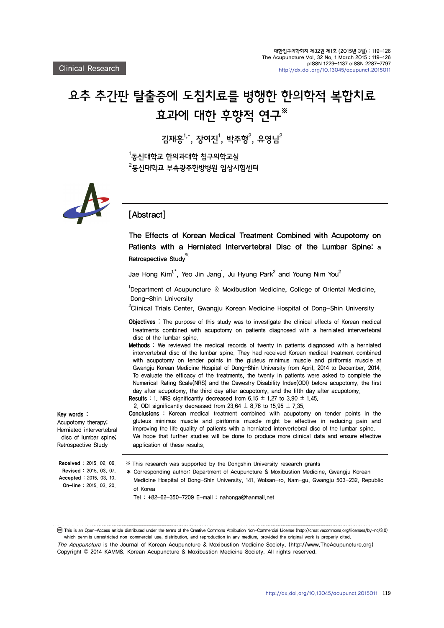# 요추 추간판 탈출증에 도침치료를 병행한 한의학적 복합치료 효과에 대한 후향적 연구※

김재홍<sup>1,\*</sup>, 장여진」, 박주형<sup>2</sup>, 유영님<sup>2</sup>

 $^{\rm 1}$ 동신대학교 한의과대학 침구의학교실  $^{2}$ 동신대학교 부속광주한방병원 임상시험센터



## [Abstract]

The Effects of Korean Medical Treatment Combined with Acupotomy on Patients with a Herniated Intervertebral Disc of the Lumbar Spine: a Retrospective Study※

Jae Hong Kim<sup>1,\*</sup>, Yeo Jin Jang<sup>1</sup>, Ju Hyung Park<sup>2</sup> and Young Nim You<sup>2</sup>

<sup>1</sup>Department of Acupuncture  $\&$  Moxibustion Medicine, College of Oriental Medicine, Dong-Shin University

<sup>2</sup>Clinical Trials Center, Gwangju Korean Medicine Hospital of Dong-Shin University

Objectives : The purpose of this study was to investigate the clinical effects of Korean medical treatments combined with acupotomy on patients diagnosed with a herniated intervertebral disc of the lumbar spine.

- Methods : We reviewed the medical records of twenty in patients diagnosed with a herniated intervertebral disc of the lumbar spine. They had received Korean medical treatment combined with acupotomy on tender points in the gluteus minimus muscle and piriformis muscle at Gwangju Korean Medicine Hospital of Dong-Shin University from April, 2014 to December, 2014. To evaluate the efficacy of the treatments, the twenty in patients were asked to complete the Numerical Rating Scale(NRS) and the Oswestry Disability Index(ODI) before acupotomy, the first day after acupotomy, the third day after acupotomy, and the fifth day after acupotomy. **Results : 1. NRS significantly decreased from 6.15**  $\pm$  **1.27 to 3.90**  $\pm$  **1.45.**
- 2. ODI significantly decreased from 23.64  $\pm$  8.76 to 15.95  $\pm$  7.35.

Conclusions : Korean medical treatment combined with acupotomy on tender points in the gluteus minimus muscle and piriformis muscle might be effective in reducing pain and improving the life quality of patients with a herniated intervertebral disc of the lumbar spine. We hope that further studies will be done to produce more clinical data and ensure effective application of these results.

Herniated intervertebral disc of lumbar spine; Retrospective Study

Key words : Acupotomy therapy;

※ This research was supported by the Dongshin University research grants

✱ Corresponding author: Department of Acupuncture & Moxibustion Medicine, Gwangju Korean Medicine Hospital of Dong-Shin University, 141, Wolsan-ro, Nam-gu, Gwangju 503-232, Republic of Korea

Tel : +82-62-350-7209 E-mail : nahonga@hanmail.net

 This is an Open-Access article distributed under the terms of the Creative Commons Attribution Non-Commercial License (http://creativecommons.org/licenses/by-nc/3.0) which permits unrestricted non-commercial use, distribution, and reproduction in any medium, provided the original work is properly cited. The Acupuncture is the Journal of Korean Acupuncture & Moxibustion Medicine Society. (http://www.TheAcupuncture.org) Copyright © 2014 KAMMS. Korean Acupuncture & Moxibustion Medicine Society. All rights reserved.

 Received : 2015. 02. 09. Revised : 2015. 03. 07.

 Accepted : 2015. 03. 10. On-line : 2015. 03. 20.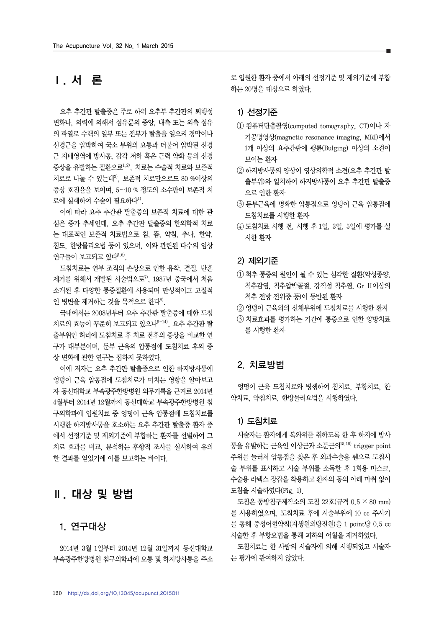## **Ⅰ**. 서 론

요추 추간판 탈출증은 주로 하위 요추부 추간판의 퇴행성 변화나, 외력에 의해서 섬유륜의 중앙, 내측 또는 외측 섬유 의 파열로 수핵의 일부 또는 전부가 탈출을 일으켜 경막이나 신경근을 압박하여 국소 부위의 요통과 더불어 압박된 신경 근 지배영역에 방사통, 감각 저하 혹은 근력 약화 등의 신경 증상을 유발하는 질환으로1,2), 치료는 수술적 치료와 보존적 치료로 나눌 수 있는데3), 보존적 치료만으로도 80 %이상의 증상 호전율을 보이며, 5∼10 % 정도의 소수만이 보존적 치 료에 실패하여 수술이 필요하다<sup>4)</sup>.

이에 따라 요추 추간판 탈출증의 보존적 치료에 대한 관 심은 증가 추세인데, 요추 추간판 탈출증의 한의학적 치료 는 대표적인 보존적 치료법으로 침, 뜸, 약침, 추나, 한약, 침도, 한방물리요법 등이 있으며, 이와 관련된 다수의 임상 연구들이 보고되고 있다 $5,6$ ).

도침치료는 연부 조직의 손상으로 인한 유착, 결절, 반흔 제거를 위해서 개발된 시술법으로<sup>7)</sup>, 1987년 중국에서 처음 소개된 후 다양한 통증질환에 사용되며 만성적이고 고질적 인 병변을 제거하는 것을 목적으로 한다 $^{8}$ .

국내에서는 2008년부터 요추 추간판 탈출증에 대한 도침 치료의 효능이 꾸준히 보고되고 있으나9-14), 요추 추간판 탈 출부위인 허리에 도침치료 후 치료 전후의 증상을 비교한 연 구가 대부분이며, 둔부 근육의 압통점에 도침치료 후의 증 상 변화에 관한 연구는 접하지 못하였다.

이에 저자는 요추 추간판 탈출증으로 인한 하지방사통에 엉덩이 근육 압통점에 도침치료가 미치는 영향을 알아보고 자 동신대학교 부속광주한방병원 의무기록을 근거로 2014년 4월부터 2014년 12월까지 동신대학교 부속광주한방병원 침 구의학과에 입원치료 중 엉덩이 근육 압통점에 도침치료를 시행한 하지방사통을 호소하는 요추 추간판 탈출증 환자 중 에서 선정기준 및 제외기준에 부합하는 환자를 선별하여 그 치료 효과를 비교, 분석하는 후향적 조사를 실시하여 유의 한 결과를 얻었기에 이를 보고하는 바이다.

## **Ⅱ**. 대상 및 방법

### 1. 연구대상

2014년 3월 1일부터 2014년 12월 31일까지 동신대학교 부속광주한방병원 침구의학과에 요통 및 하지방사통을 주소 로 입원한 환자 중에서 아래의 선정기준 및 제외기준에 부합 하는 20명을 대상으로 하였다.

### 1) 선정기준

- ① 컴퓨터단층촬영(computed tomography, CT)이나 자 기공명영상(magnetic resonance imaging, MRI)에서 1개 이상의 요추간판에 팽륜(Bulging) 이상의 소견이 보이는 환자
- ② 하지방사통의 양상이 영상의학적 소견(요추 추간판 탈 출부위)와 일치하여 하지방사통이 요추 추간판 탈출증 으로 인한 환자
- ③ 둔부근육에 명확한 압통점으로 엉덩이 근육 압통점에 도침치료를 시행한 환자
- ④ 도침치료 시행 전, 시행 후 1일, 3일, 5일에 평가를 실 시한 환자

### 2) 제외기준

- ① 척추 통증의 원인이 될 수 있는 심각한 질환(악성종양, 척추감염, 척추압박골절, 강직성 척추염, Gr Ⅱ이상의 척추 전방 전위증 등)이 동반된 환자
- ② 엉덩이 근육외의 신체부위에 도침치료를 시행한 환자
- ③ 치료효과를 평가하는 기간에 통증으로 인한 양방치료 를 시행한 환자

#### 2. 치료방법

엉덩이 근육 도침치료와 병행하여 침치료, 부항치료, 한 약치료, 약침치료, 한방물리요법을 시행하였다.

#### 1) 도침치료

시술자는 환자에게 복와위를 취하도록 한 후 하지에 방사 통을 유발하는 근육인 이상근과 소둔근의15,16) trigger point 주위를 눌러서 압통점을 찾은 후 외과수술용 펜으로 도침시 술 부위를 표시하고 시술 부위를 소독한 후 1회용 마스크, 수술용 라텍스 장갑을 착용하고 환자의 동의 아래 마취 없이 도침을 시술하였다(Fig. 1).

도침은 동방침구제작소의 도침 22호(규격 0.5 × 80 mm) 를 사용하였으며, 도침치료 후에 시술부위에 10 cc 주사기 를 통해 중성어혈약침(자생원외탕전원)을 1 point당 0.5 cc 시술한 후 부항요법을 통해 피하의 어혈을 제거하였다.

도침치료는 한 사람의 시술자에 의해 시행되었고 시술자 는 평가에 관여하지 않았다.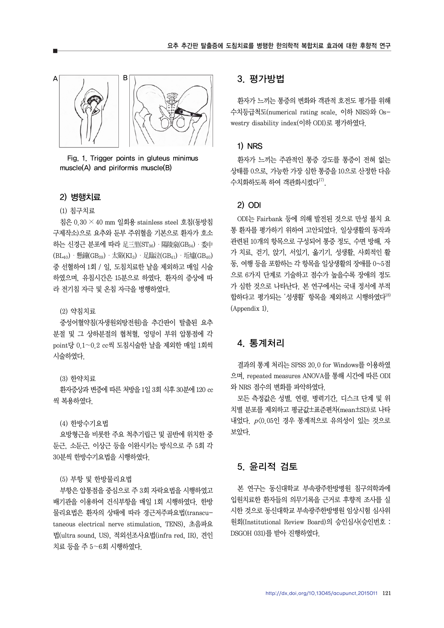

Fig. 1. Trigger points in gluteus minimus muscle(A) and piriformis muscle(B)

#### 2) 병행치료

#### (1) 침구치료

침은 0.30 × 40 mm 일회용 stainless steel 호침(동방침 구제작소)으로 요추와 둔부 주위혈을 기본으로 환자가 호소 하는 신경근 분포에 따라 足三里(ST36) · 陽陵泉(GB34) · 委中  $(BL_{40})$  ・懸鐘 $(BB_{39})$  ・太谿 $(KI_3)$  ・足臨泣 $(GB_{41})$  ・坵墟 $(GB_{40})$ 중 선혈하여 1회 / 일, 도침치료한 날을 제외하고 매일 시술 하였으며, 유침시간은 15분으로 하였다. 환자의 증상에 따 라 전기침 자극 및 온침 자극을 병행하였다.

#### (2) 약침치료

중성어혈약침(자생원외탕전원)을 추간판이 탈출된 요추 분절 및 그 상하분절의 협척혈, 엉덩이 부위 압통점에 각 point당 0.1∼0.2 cc씩 도침시술한 날을 제외한 매일 1회씩 시술하였다.

#### (3) 한약치료

환자증상과 변증에 따른 처방을 1일 3회 식후 30분에 120 cc 씩 복용하였다.

#### (4) 한방수기요법

요방형근을 비롯한 주요 척추기립근 및 골반에 위치한 중 둔근, 소둔근, 이상근 등을 이완시키는 방식으로 주 5회 각 30분씩 한방수기요법을 시행하였다.

#### (5) 부항 및 한방물리요법

부항은 압통점을 중심으로 주 3회 자락요법을 시행하였고 배기관을 이용하여 건식부항을 매일 1회 시행하였다. 한방 물리요법은 환자의 상태에 따라 경근저주파요법(transcutaneous electrical nerve stimulation, TENS), 초음파요 법(ultra sound, US), 적외선조사요법(infra red, IR), 견인 치료 등을 주 5∼6회 시행하였다.

## 3. 평가방법

환자가 느끼는 통증의 변화와 객관적 호전도 평가를 위해 수치등급척도(numerical rating scale, 이하 NRS)와 Oswestry disability index(이하 ODI)로 평가하였다.

#### 1) NRS

환자가 느끼는 주관적인 통증 강도를 통증이 전혀 없는 상태를 0으로, 가능한 가장 심한 통증을 10으로 산정한 다음 수치화하도록 하여 객관화시켰다<sup>17)</sup>.

#### 2) ODI

ODI는 Fairbank 등에 의해 발전된 것으로 만성 불치 요 통 환자를 평가하기 위하여 고안되었다. 일상생활의 동작과 관련된 10개의 항목으로 구성되어 통증 정도, 수면 방해, 자 가 치료, 걷기, 앉기, 서있기, 옮기기, 성생활, 사회적인 활 동, 여행 등을 포함하는 각 항목을 일상생활의 장애를 0~5점 으로 6가지 단계로 기술하고 점수가 높을수록 장애의 정도 가 심한 것으로 나타난다. 본 연구에서는 국내 정서에 부적 합하다고 평가되는 '성생활' 항목을 제외하고 시행하였다<sup>18)</sup> (Appendix 1).

## 4. 통계처리

결과의 통계 처리는 SPSS 20.0 for Windows를 이용하였 으며, repeated measures ANOVA를 통해 시간에 따른 ODI 와 NRS 점수의 변화를 파악하였다.

모든 측정값은 성별, 연령, 병력기간, 디스크 단계 및 위 치별 분포를 제외하고 평균값±표준편차(mean±SD)로 나타 내었다. p<0.05인 경우 통계적으로 유의성이 있는 것으로 보았다.

## 5. 윤리적 검토

본 연구는 동신대학교 부속광주한방병원 침구의학과에 입원치료한 환자들의 의무기록을 근거로 후향적 조사를 실 시한 것으로 동신대학교 부속광주한방병원 임상시험 심사위 원회(Institutional Review Board)의 승인심사(승인번호 : DSGOH 031)를 받아 진행하였다.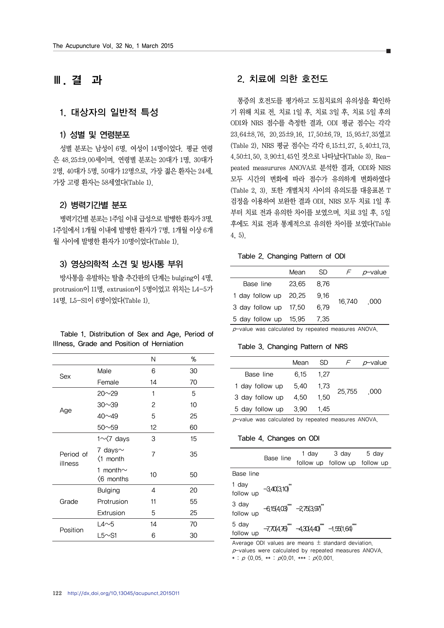## **Ⅲ**. 결 과

## 1. 대상자의 일반적 특성

### 1) 성별 및 연령분포

성별 분포는 남성이 6명, 여성이 14명이었다. 평균 연령 은 48.25±9.00세이며, 연령별 분포는 20대가 1명, 30대가 2명, 40대가 5명, 50대가 12명으로, 가장 젊은 환자는 24세, 가장 고령 환자는 58세였다(Table 1).

#### 2) 병력기간별 분포

병력기간별 분포는 1주일 이내 급성으로 발병한 환자가 3명, 1주일에서 1개월 이내에 발병한 환자가 7명, 1개월 이상 6개 월 사이에 발병한 환자가 10명이었다(Table 1).

### 3) 영상의학적 소견 및 방사통 부위

방사통을 유발하는 탈출 추간판의 단계는 bulging이 4명, protrusion이 11명, extrusion이 5명이었고 위치는 L4-5가 14명, L5-S1이 6명이었다(Table 1).

| Table 1. Distribution of Sex and Age, Period of |  |
|-------------------------------------------------|--|
| Illness, Grade and Position of Herniation       |  |

|                      |                               | Ν              | %  |
|----------------------|-------------------------------|----------------|----|
| Sex                  | Male                          | 6              | 30 |
|                      | Female                        | 14             | 70 |
|                      | $20 \sim 29$                  | 1              | 5  |
|                      | $30 \sim 39$                  | 2              | 10 |
| Age                  | $40\nu$ 49                    | 5              | 25 |
|                      | $50 - 59$                     | 12             | 60 |
|                      | $1 \sim 7$ days               | 3              | 15 |
| Period of<br>illness | 7 days $\sim$<br><1 month     | $\overline{7}$ | 35 |
|                      | 1 month $\sim$<br>$(6$ months | 10             | 50 |
|                      | <b>Bulging</b>                | 4              | 20 |
| Grade                | Protrusion                    | 11             | 55 |
|                      | Extrusion                     | 5              | 25 |
|                      | $L4 \sim 5$                   | 14             | 70 |
| Position             | L5 $\sim$ S1                  | 6              | 30 |

## 2. 치료에 의한 호전도

통증의 호전도를 평가하고 도침치료의 유의성을 확인하 기 위해 치료 전, 치료 1일 후, 치료 3일 후, 치료 5일 후의 ODI와 NRS 점수를 측정한 결과, ODI 평균 점수는 각각 23.64±8.76, 20.25±9.16, 17.50±6.79, 15.95±7.35였고 (Table 2), NRS 평균 점수는 각각 6.15±1.27, 5.40±1.73, 4.50±1.50, 3.90±1.45인 것으로 나타났다(Table 3). Reapeated measurures ANOVA로 분석한 결과, ODI와 NRS 모두 시간의 변화에 따라 점수가 유의하게 변화하였다 (Table 2, 3). 또한 개별처치 사이의 유의도를 대응표본 T 검정을 이용하여 보완한 결과 ODI, NRS 모두 치료 1일 후 부터 치료 전과 유의한 차이를 보였으며, 치료 3일 후, 5일 후에도 치료 전과 통계적으로 유의한 차이를 보였다(Table 4, 5).

#### Table 2. Changing Pattern of ODI

|                       | Mean  | SD.  | F.     | p-value |
|-----------------------|-------|------|--------|---------|
| Base line             | 23 65 | 876  |        |         |
| 1 day follow up 20.25 |       | 9.16 |        |         |
| 3 day follow up 17,50 |       | 679  | 16.740 | - 000   |
| 5 day follow up 15,95 |       | 7.35 |        |         |

 $p$ -value was calculated by repeated measures ANOVA.

#### Table 3. Changing Pattern of NRS

|                 | Mean | SD.  |        | <i>p</i> -value |
|-----------------|------|------|--------|-----------------|
| Base line       | 6 15 | 1 27 |        |                 |
| 1 day follow up | 5.40 | 1.73 |        |                 |
| 3 day follow up | 4.50 | 1.50 | 25,755 | .000            |
| 5 day follow up | 3.90 | 1.45 |        |                 |

p-value was calculated by repeated measures ANOVA.

#### Table 4. Changes on ODI

|                    |                         |                                      | 1 day 3 day 5 day             |  |
|--------------------|-------------------------|--------------------------------------|-------------------------------|--|
|                    | Base line               |                                      | follow up follow up follow up |  |
| Base line          |                         |                                      |                               |  |
| 1 day<br>follow up | $-3.40(3.10)$           |                                      |                               |  |
| 3 day<br>follow up | $-615(403)$ $-275(397)$ |                                      |                               |  |
| 5 day<br>follow up |                         | $-770(476)$ $-430(440)$ $-1.55(164)$ |                               |  |

Average ODI values are means  $\pm$  standard deviation.  $p$ -values were calculated by repeated measures ANOVA. \* :  $p$   $\langle 0.05 \cdot * : p \langle 0.01 \cdot * * : p \langle 0.001 \cdot$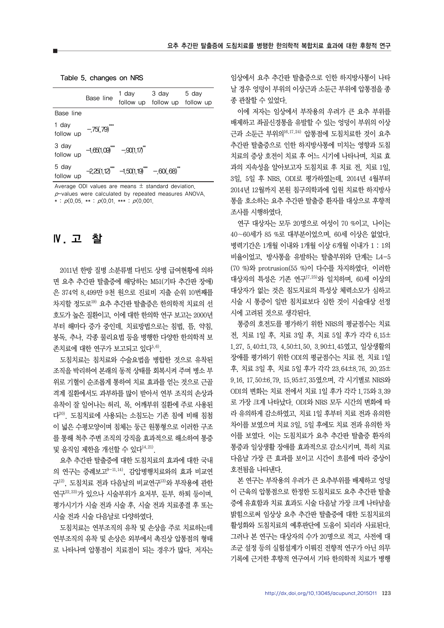Table 5. changes on NRS

|                                                        | Base line                 |                                       | 1 day 3 day 5 day<br>follow up follow up follow up |  |
|--------------------------------------------------------|---------------------------|---------------------------------------|----------------------------------------------------|--|
| Base line                                              |                           |                                       |                                                    |  |
| 1 day<br>follow up                                     | $-75(.79)$                |                                       |                                                    |  |
| 3 day<br>follow up                                     | $-1.65(1.09)$ $-90(1.17)$ |                                       |                                                    |  |
| 5 day<br>follow up                                     |                           | $-225(1.12)$ $-1.50(1.19)$ $-60(.68)$ |                                                    |  |
| Average ODI values are means $\pm$ standard deviation. |                           |                                       |                                                    |  |

 $p$ -values were calculated by repeated measures ANOVA. \*  $p(0.05)$  \*\* :  $p(0.01)$  \*\*\* :  $p(0.001)$ 

## **Ⅳ**. 고 찰

2011년 한방 질병 소분류별 다빈도 상병 급여현황에 의하 면 요추 추간판 탈출증에 해당하는 M51(기타 추간판 장애) 은 374억 8,499만 9천 원으로 진료비 지출 순위 10번째를 차지할 정도로19) 요추 추간판 탈출증은 한의학적 치료의 선 호도가 높은 질환이고, 이에 대한 한의학 연구 보고는 2000년 부터 해마다 증가 중인데, 치료방법으로는 침법, 뜸, 약침, 봉독, 추나, 각종 물리요법 등을 병행한 다양한 한의학적 보 존치료에 대한 연구가 보고되고 있다5,6).

도침치료는 침치료와 수술요법을 병합한 것으로 유착된 조직을 박리하여 본래의 동적 상태를 회복시켜 주며 병소 부 위로 기혈이 순조롭게 통하여 치료 효과를 얻는 것으로 근골 격계 질환에서도 과부하를 많이 받아서 연부 조직의 손상과 유착이 잘 일어나는 허리, 목, 어깨부위 질환에 주로 사용된 다20). 도침치료에 사용되는 소침도는 기존 침에 비해 침첨 이 넓은 수평모양이며 침체는 둥근 원통형으로 이러한 구조 를 통해 척추 주변 조직의 강직을 효과적으로 해소하여 통증 및 움직임 제한을 개선할 수 있다 $^{14,21)}$ .

요추 추간판 탈출증에 대한 도침치료의 효과에 대한 국내 의 연구는 증례보고 $9-11,14$ ), 감압병행치료와의 효과 비교연 구12), 도침치료 전과 다음날의 비교연구13)와 부작용에 관한 연구22,23)가 있으나 시술부위가 요저부, 둔부, 하퇴 등이며, 평가시기가 시술 전과 시술 후, 시술 전과 치료종결 후 또는 시술 전과 시술 다음날로 다양하였다.

도침치료는 연부조직의 유착 및 손상을 주로 치료하는데 연부조직의 유착 및 손상은 외부에서 촉진상 압통점의 형태 로 나타나며 압통점이 치료점이 되는 경우가 많다. 저자는

임상에서 요추 추간판 탈출증으로 인한 하지방사통이 나타 날 경우 엉덩이 부위의 이상근과 소둔근 부위에 압통점을 종 종 관찰할 수 있었다.

이에 저자는 임상에서 부작용의 우려가 큰 요추 부위를 배제하고 좌골신경통을 유발할 수 있는 엉덩이 부위의 이상 근과 소둔근 부위의16,17,24) 압통점에 도침치료한 것이 요추 추간판 탈출증으로 인한 하지방사통에 미치는 영향과 도침 치료의 증상 호전이 치료 후 어느 시기에 나타나며, 치료 효 과의 지속성을 알아보고자 도침치료 후 치료 전, 치료 1일, 3일, 5일 후 NRS, ODI로 평가하였는데, 2014년 4월부터 2014년 12월까지 본원 침구의학과에 입원 치료한 하지방사 통을 호소하는 요추 추간판 탈출증 환자를 대상으로 후향적 조사를 시행하였다.

연구 대상자는 모두 20명으로 여성이 70 %이고, 나이는 40∼60세가 85 %로 대부분이었으며, 60세 이상은 없었다. 병력기간은 1개월 이내와 1개월 이상 6개월 이내가 1 : 1의 비율이었고, 방사통을 유발하는 탈출부위와 단계는 L4-5 (70 %)와 protrusion(55 %)이 다수를 차지하였다. 이러한 대상자의 특성은 기존 연구17,25)와 일치하며, 60세 이상의 대상자가 없는 것은 침도치료의 특성상 체력소모가 심하고 시술 시 통증이 일반 침치료보다 심한 것이 시술대상 선정 시에 고려된 것으로 생각된다.

통증의 호전도를 평가하기 위한 NRS의 평균점수는 치료 전, 치료 1일 후, 치료 3일 후, 치료 5일 후가 각각 6.15± 1.27, 5.40±1.73, 4.50±1.50, 3.90±1.45였고, 일상생활의 장애를 평가하기 위한 ODI의 평균점수는 치료 전, 치료 1일 후, 치료 3일 후, 치료 5일 후가 각각 23.64±8.76, 20.25± 9.16, 17.50±6.79, 15.95±7.35였으며, 각 시기별로 NRS와 ODI의 변화는 치료 전에서 치료 1일 후가 각각 1.75와 3.39 로 가장 크게 나타났다. ODI와 NRS 모두 시간의 변화에 따 라 유의하게 감소하였고, 치료 1일 후부터 치료 전과 유의한 차이를 보였으며 치료 3일, 5일 후에도 치료 전과 유의한 차 이를 보였다. 이는 도침치료가 요추 추간판 탈출증 환자의 통증과 일상생활 장애를 효과적으로 감소시키며, 특히 치료 다음날 가장 큰 효과를 보이고 시간이 흐름에 따라 증상이 호전됨을 나타낸다.

본 연구는 부작용의 우려가 큰 요추부위를 배제하고 엉덩 이 근육의 압통점으로 한정한 도침치료도 요추 추간판 탈출 증에 유효함과 치료 효과도 시술 다음날 가장 크게 나타남을 밝힘으로써 임상상 요추 추간판 탈출증에 대한 도침치료의 활성화와 도침치료의 예후판단에 도움이 되리라 사료된다. 그러나 본 연구는 대상자의 수가 20명으로 적고, 사전에 대 조군 설정 등의 실험설계가 이뤄진 전향적 연구가 아닌 의무 기록에 근거한 후향적 연구여서 기타 한의학적 치료가 병행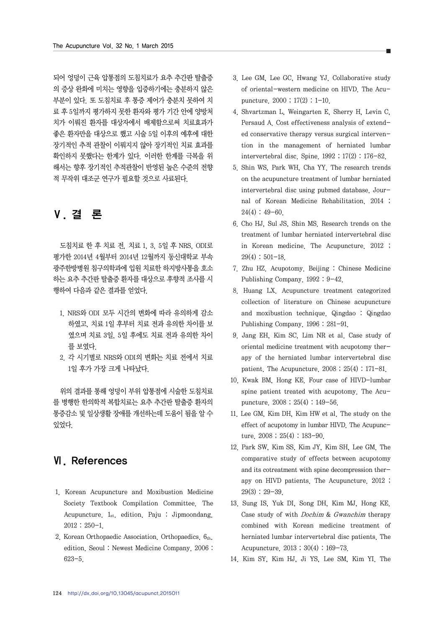되어 엉덩이 근육 압통점의 도침치료가 요추 추간판 탈출증 의 증상 완화에 미치는 영향을 입증하기에는 충분하지 않은 부분이 있다. 또 도침치료 후 통증 제어가 충분치 못하여 치 료 후 5일까지 평가하지 못한 환자와 평가 기간 안에 양방처 치가 이뤄진 환자를 대상자에서 배제함으로써 치료효과가 좋은 환자만을 대상으로 했고 시술 5일 이후의 예후에 대한 장기적인 추적 관찰이 이뤄지지 않아 장기적인 치료 효과를 확인하지 못했다는 한계가 있다. 이러한 한계를 극복을 위 해서는 향후 장기적인 추적관찰이 반영된 높은 수준의 전향 적 무작위 대조군 연구가 필요할 것으로 사료된다.

## **Ⅴ**. 결 론

도침치료 한 후 치료 전, 치료 1, 3, 5일 후 NRS, ODI로 평가한 2014년 4월부터 2014년 12월까지 동신대학교 부속 광주한방병원 침구의학과에 입원 치료한 하지방사통을 호소 하는 요추 추간판 탈출증 환자를 대상으로 후향적 조사를 시 행하여 다음과 같은 결과를 얻었다.

- 1. NRS와 ODI 모두 시간의 변화에 따라 유의하게 감소 하였고, 치료 1일 후부터 치료 전과 유의한 차이를 보 였으며 치료 3일, 5일 후에도 치료 전과 유의한 차이 를 보였다.
- 2. 각 시기별로 NRS와 ODI의 변화는 치료 전에서 치료 1일 후가 가장 크게 나타났다.

위의 결과를 통해 엉덩이 부위 압통점에 시술한 도침치료 를 병행한 한의학적 복합치료는 요추 추간판 탈출증 환자의 통증감소 및 일상생활 장애를 개선하는데 도움이 됨을 알 수 있었다.

## **Ⅵ**. References

- 1. Korean Acupuncture and Moxibustion Medicine Society Textbook Compilation Committee. The Acupuncture.  $1_{st.}$  edition. Paju : Jipmoondang. 2012 : 250-1.
- 2. Korean Orthopaedic Association. Orthopaedics.  $6<sub>th</sub>$ . edition. Seoul : Newest Medicine Company. 2006 : 623-5.
- 3. Lee GM, Lee GC, Hwang YJ. Collaborative study of oriental-western medicine on HIVD. The Acupuncture. 2000 ; 17(2) : 1-10.
- 4. Shvartzman L, Weingarten E, Sherry H, Levin C, Persaud A. Cost effectiveness analysis of extended conservative therapy versus surgical intervention in the management of herniated lumbar intervertebral disc. Spine. 1992 ; 17(2) : 176-82.
- 5. Shin WS, Park WH, Cha YY. The research trends on the acupuncture treatment of lumbar herniated intervertebral disc using pubmed database. Journal of Korean Medicine Rehabilitation. 2014 ;  $24(4): 49-60.$
- 6. Cho HJ, Sul JS, Shin MS. Research trends on the treatment of lumbar herniated intervertebral disc in Korean medicine. The Acupuncture. 2012 ; 29(4) : 501-18.
- 7. Zhu HZ. Acupotomy. Beijing : Chinese Medicine Publishing Company. 1992 : 9-42.
- 8. Huang LX. Acupuncture treatment categorized collection of literature on Chinese acupuncture and moxibustion technique. Qingdao : Qingdao Publishing Company. 1996 : 281-91.
- 9. Jang EH, Kim SC, Lim NR et al. Case study of oriental medicine treatment with acupotomy therapy of the herniated lumbar intervertebral disc patient. The Acupuncture. 2008 ; 25(4) : 171-81.
- 10. Kwak BM, Hong KE. Four case of HIVD-lumbar spine patient treated with acupotomy. The Acupuncture. 2008 ; 25(4) : 149-56.
- 11. Lee GM, Kim DH, Kim HW et al. The study on the effect of acupotomy in lumbar HIVD. The Acupuncture. 2008 ; 25(4) : 183-90.
- 12. Park SW, Kim SS, Kim JY, Kim SH, Lee GM. The comparative study of effects between acupotomy and its cotreatment with spine decompression therapy on HIVD patients. The Acupuncture. 2012 ;  $29(3): 29-39$ .
- 13. Sung IS, Yuk DI, Song DH, Kim MJ, Hong KE. Case study of with Dochim & Gwanchim therapy combined with Korean medicine treatment of herniated lumbar intervertebral disc patients. The Acupuncture. 2013 ; 30(4) : 169-73.
- 14. Kim SY, Kim HJ, Ji YS, Lee SM, Kim YI. The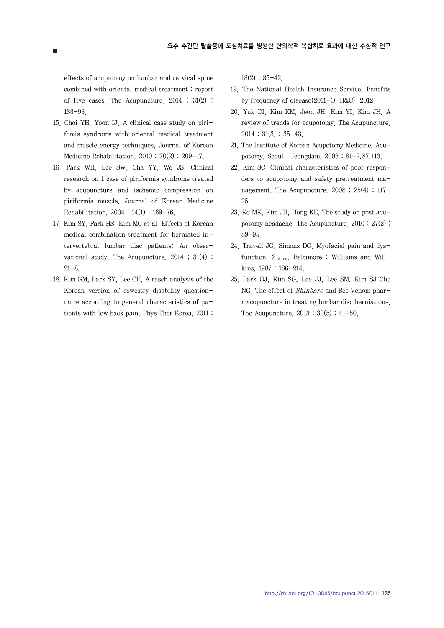effects of acupotomy on lumbar and cervical spine combined with oriental medical treatment : report of five cases. The Acupuncture. 2014 ; 31(2) : 183-93.

- 15. Choi YH, Yoon IJ. A clinical case study on pirifomis syndrome with oriental medical treatment and muscle energy techniques. Journal of Korean Medicine Rehabilitation. 2010 ; 20(2) : 209-17.
- 16. Park WH, Lee SW, Cha YY, We JS. Clinical research on 1 case of piriformis syndrome treated by acupuncture and ischemic compression on piriformis muscle. Journal of Korean Medicine Rehabilitation. 2004 ; 14(1) : 169-76.
- 17. Kim SY, Park HS, Kim MC et al. Effects of Korean medical combination treatment for herniated intervertebral lumbar disc patients: An observational study. The Acupuncture. 2014 ; 31(4) : 21-8.
- 18. Kim GM, Park SY, Lee CH. A rasch analysis of the Korean version of oswestry disability questionnaire according to general characteristics of patients with low back pain. Phys Ther Korea. 2011 ;

 $18(2): 35-42.$ 

- 19. The National Health Insurance Service. Benefits by frequency of disease(2011-O. H&C). 2012.
- 20. Yuk DI, Kim KM, Jeon JH, Kim YI, Kim JH. A review of trends for acupotomy. The Acupuncture. 2014 ; 31(3) : 35-43.
- 21. The Institute of Korean Acupotomy Medicine. Acupotomy. Seoul : Jeongdam. 2003 : 81-2,87,113.
- 22. Kim SC. Clinical characteristics of poor responders to acupotomy and safety pretreatment management. The Acupuncture.  $2008$ ;  $25(4)$ :  $117-$ 25.
- 23. Ko MK, Kim JH, Hong KE. The study on post acupotomy headache. The Acupuncture. 2010 ; 27(2) : 89-95.
- 24. Travell JG, Simons DG. Myofacial pain and dysfunction. 2nd ed. Baltimore : Williams and Willkins. 1987 : 186-214.
- 25. Park OJ, Kim SG, Lee JJ, Lee SM, Kim SJ Cho NG. The effect of *Shinbaro* and Bee Venom pharmacopuncture in treating lumbar disc herniations. The Acupuncture. 2013 ; 30(5) : 41-50.